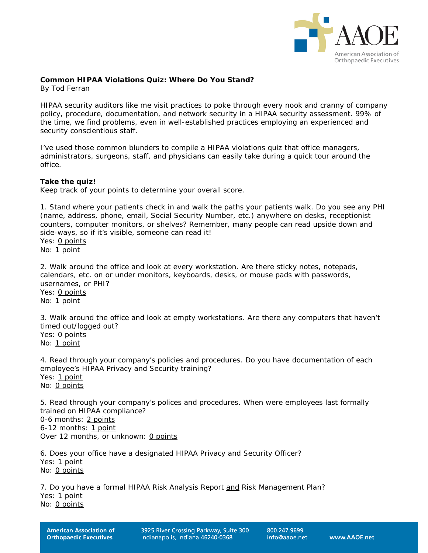

### **Common HIPAA Violations Quiz: Where Do You Stand?**

*By Tod Ferran*

HIPAA security auditors like me visit practices to poke through every nook and cranny of company policy, procedure, documentation, and network security in a HIPAA security assessment. 99% of the time, we find problems, even in well-established practices employing an experienced and security conscientious staff.

I've used those common blunders to compile a HIPAA violations quiz that office managers, administrators, surgeons, staff, and physicians can easily take during a quick tour around the office.

#### **Take the quiz!**

*Keep track of your points to determine your overall score.*

1. Stand where your patients check in and walk the paths your patients walk. Do you see any PHI (name, address, phone, email, Social Security Number, etc.) anywhere on desks, receptionist counters, computer monitors, or shelves? Remember, many people can read upside down and side-ways, so if it's visible, someone can read it! Yes: 0 points No: 1 point

2. Walk around the office and look at every workstation. Are there sticky notes, notepads, calendars, etc. on or under monitors, keyboards, desks, or mouse pads with passwords, usernames, or PHI?

Yes: 0 points No: 1 point

3. Walk around the office and look at empty workstations. Are there any computers that haven't timed out/logged out?

Yes: 0 points No: 1 point

4. Read through your company's policies and procedures. Do you have documentation of each employee's HIPAA Privacy and Security training? Yes: 1 point No: 0 points

5. Read through your company's polices and procedures. When were employees last formally trained on HIPAA compliance? 0-6 months: 2 points 6-12 months: 1 point Over 12 months, or unknown: 0 points

6. Does your office have a designated HIPAA Privacy and Security Officer? Yes: 1 point No: 0 points

7. Do you have a formal HIPAA Risk Analysis Report and Risk Management Plan? Yes: 1 point No: 0 points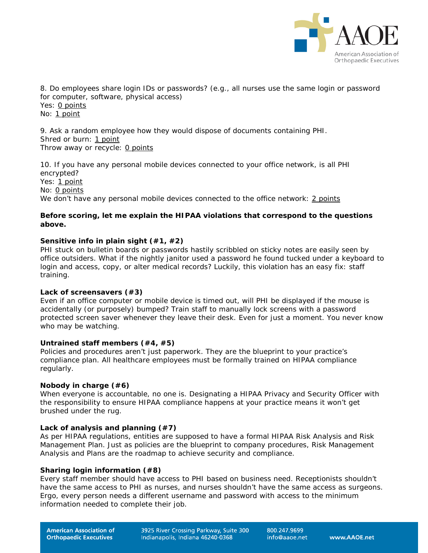

8. Do employees share login IDs or passwords? (e.g., all nurses use the same login or password for computer, software, physical access) Yes: 0 points No: 1 point

9. Ask a random employee how they would dispose of documents containing PHI. Shred or burn: 1 point Throw away or recycle: 0 points

10. If you have any personal mobile devices connected to your office network, is all PHI encrypted? Yes: 1 point No: 0 points We don't have any personal mobile devices connected to the office network: 2 points

## **Before scoring, let me explain the HIPAA violations that correspond to the questions above.**

# **Sensitive info in plain sight (#1, #2)**

PHI stuck on bulletin boards or passwords hastily scribbled on sticky notes are easily seen by office outsiders. What if the nightly janitor used a password he found tucked under a keyboard to login and access, copy, or alter medical records? Luckily, this violation has an easy fix: staff training.

### **Lack of screensavers (#3)**

Even if an office computer or mobile device is timed out, will PHI be displayed if the mouse is accidentally (or purposely) bumped? Train staff to manually lock screens with a password protected screen saver whenever they leave their desk. Even for just a moment. You never know who may be watching.

#### **Untrained staff members (#4, #5)**

Policies and procedures aren't just paperwork. They are the blueprint to your practice's compliance plan. All healthcare employees must be formally trained on HIPAA compliance regularly.

### **Nobody in charge (#6)**

When everyone is accountable, no one is. Designating a HIPAA Privacy and Security Officer with the responsibility to ensure HIPAA compliance happens at your practice means it won't get brushed under the rug.

### **Lack of analysis and planning (#7)**

As per HIPAA regulations, entities are supposed to have a formal HIPAA Risk Analysis and Risk Management Plan. Just as policies are the blueprint to company procedures, Risk Management Analysis and Plans are the roadmap to achieve security and compliance.

### **Sharing login information (#8)**

Every staff member should have access to PHI based on business need. Receptionists shouldn't have the same access to PHI as nurses, and nurses shouldn't have the same access as surgeons. Ergo, every person needs a different username and password with access to the minimum information needed to complete their job.